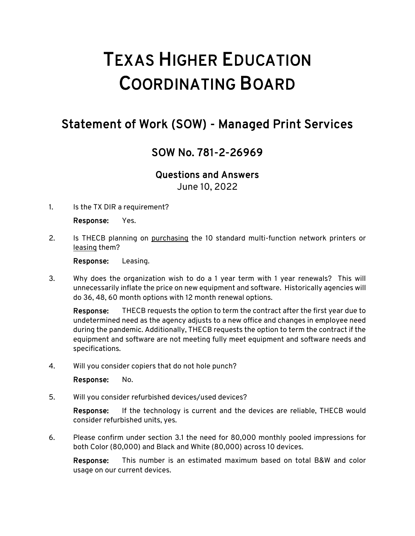## TEXAS HIGHER EDUCATION COORDINATING BOARD

## Statement of Work (SOW) - Managed Print Services

## SOW No. 781-2-26969

## Questions and Answers

June 10, 2022

1. Is the TX DIR a requirement?

Response: Yes.

2. Is THECB planning on purchasing the 10 standard multi-function network printers or leasing them?

Response: Leasing.

3. Why does the organization wish to do a 1 year term with 1 year renewals? This will unnecessarily inflate the price on new equipment and software. Historically agencies will do 36, 48, 60 month options with 12 month renewal options.

Response: THECB requests the option to term the contract after the first year due to undetermined need as the agency adjusts to a new office and changes in employee need during the pandemic. Additionally, THECB requests the option to term the contract if the equipment and software are not meeting fully meet equipment and software needs and specifications.

4. Will you consider copiers that do not hole punch?

Response: No.

5. Will you consider refurbished devices/used devices?

Response: If the technology is current and the devices are reliable, THECB would consider refurbished units, yes.

6. Please confirm under section 3.1 the need for 80,000 monthly pooled impressions for both Color (80,000) and Black and White (80,000) across 10 devices.

Response: This number is an estimated maximum based on total B&W and color usage on our current devices.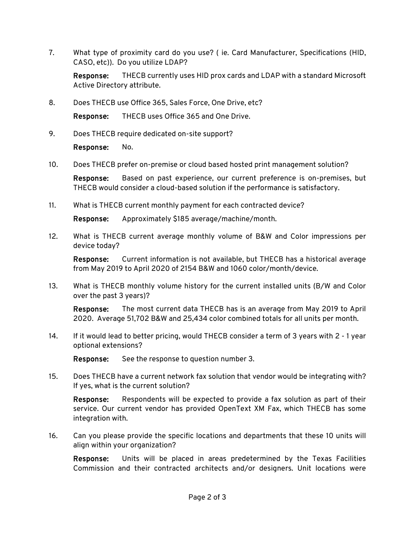7. What type of proximity card do you use? ( ie. Card Manufacturer, Specifications (HID, CASO, etc)). Do you utilize LDAP?

Response: THECB currently uses HID prox cards and LDAP with a standard Microsoft Active Directory attribute.

8. Does THECB use Office 365, Sales Force, One Drive, etc?

Response: THECB uses Office 365 and One Drive.

9. Does THECB require dedicated on-site support?

Response: No.

10. Does THECB prefer on-premise or cloud based hosted print management solution?

Response: Based on past experience, our current preference is on-premises, but THECB would consider a cloud-based solution if the performance is satisfactory.

11. What is THECB current monthly payment for each contracted device?

Response: Approximately \$185 average/machine/month.

12. What is THECB current average monthly volume of B&W and Color impressions per device today?

Response: Current information is not available, but THECB has a historical average from May 2019 to April 2020 of 2154 B&W and 1060 color/month/device.

13. What is THECB monthly volume history for the current installed units (B/W and Color over the past 3 years)?

Response: The most current data THECB has is an average from May 2019 to April 2020. Average 51,702 B&W and 25,434 color combined totals for all units per month.

14. If it would lead to better pricing, would THECB consider a term of 3 years with 2 - 1 year optional extensions?

Response: See the response to question number 3.

15. Does THECB have a current network fax solution that vendor would be integrating with? If yes, what is the current solution?

Response: Respondents will be expected to provide a fax solution as part of their service. Our current vendor has provided OpenText XM Fax, which THECB has some integration with.

16. Can you please provide the specific locations and departments that these 10 units will align within your organization?

Response: Units will be placed in areas predetermined by the Texas Facilities Commission and their contracted architects and/or designers. Unit locations were